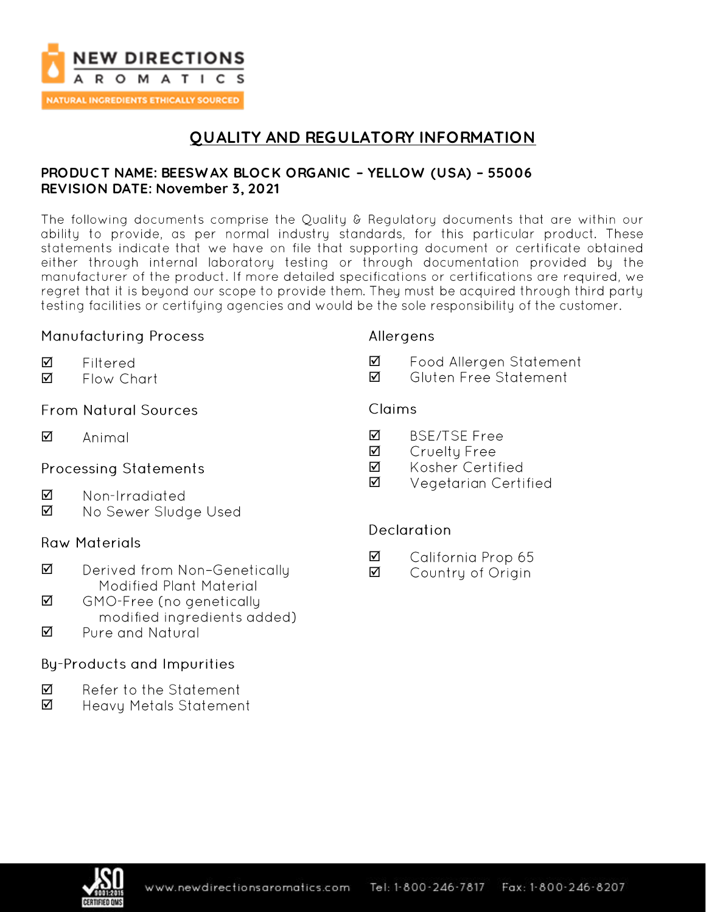

**NATURAL INGREDIENTS ETHICALLY SOURCED** 

# **QUALITY AND REGULATORY INFORMATION**

### **PRODUC T NAME: BEESW AX BLOC K ORGANIC – YELLOW (USA) – 55006 REVISION DATE: November 3, 2021**

The following documents comprise the Quality & Regulatory documents that are within our ability to provide, as per normal industry standards, for this particular product. These statements indicate that we have on file that supporting document or certificate obtained either through internal laboratory testing or through documentation provided by the manufacturer of the product. If more detailed specifications or certifications are required, we regret that it is beyond our scope to provide them. They must be acquired through third party testing facilities or certifying agencies and would be the sole responsibility of the customer.

## **Manufacturing Process**

Filtered

# Allergens

- ☑ Food Allergen Statement
- ☑ Gluten Free Statement

## **From Natural Sources**

Flow Chart

 $\triangledown$ Animal

☑ ☑

## **Processing Statements**

- ☑ Non-Irradiated
- ☑ No Sewer Sludge Used

## **Raw Materials**

- $\triangledown$ Derived from Non-Genetically Modified Plant Material
- ☑ GMO-Free (no genetically modified ingredients added)
- Pure and Natural ☑

# **By-Products and Impurities**

- ☑ Refer to the Statement
- ☑ Heavy Metals Statement

# Claims

- ☑ **BSE/TSE Free**
- ☑ Cruelty Free
- ☑ Kosher Certified
- ☑ Vegetarian Certified

## **Declaration**

- ☑ California Prop 65
- ☑ Country of Origin

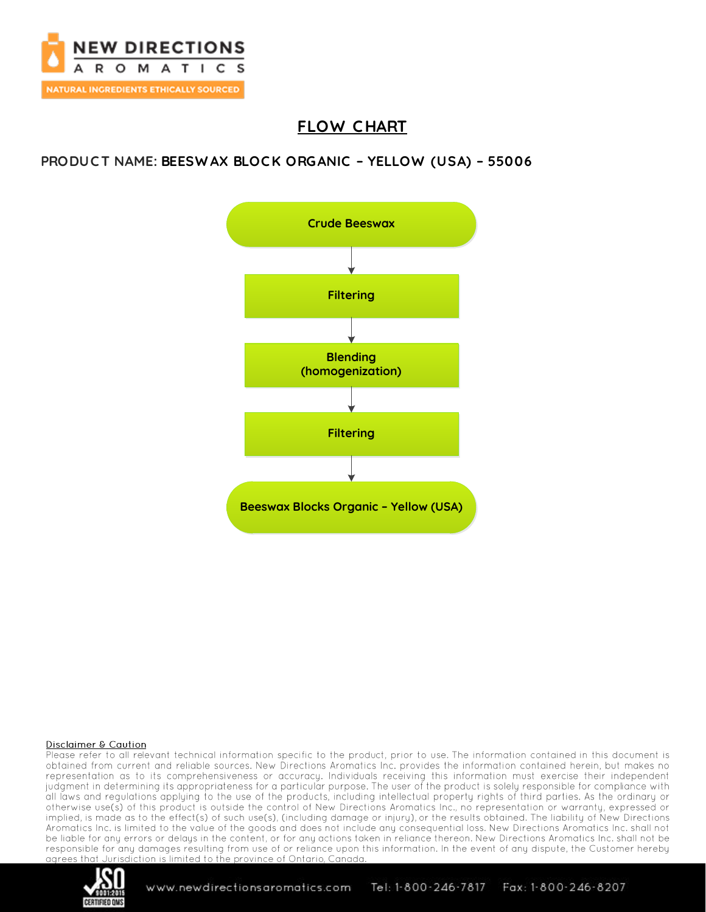

# **FLOW C HART**

## **PRODUC T NAME: BEESW AX BLOC K ORGANIC – YELLOW (USA) – 55006**



#### **Disclaimer & Caution**

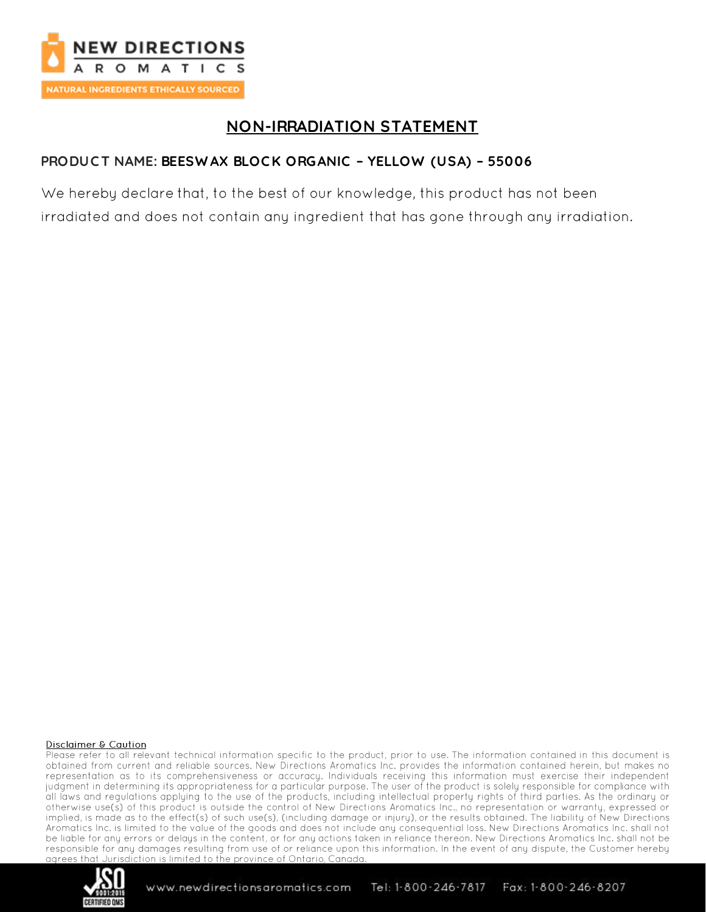

# **NON-IRRADIATION STATEMENT**

## PRODUCT NAME: BEESWAX BLOCK ORGANIC - YELLOW (USA) - 55006

We hereby declare that, to the best of our knowledge, this product has not been irradiated and does not contain any ingredient that has gone through any irradiation.

#### **Disclaimer & Caution**

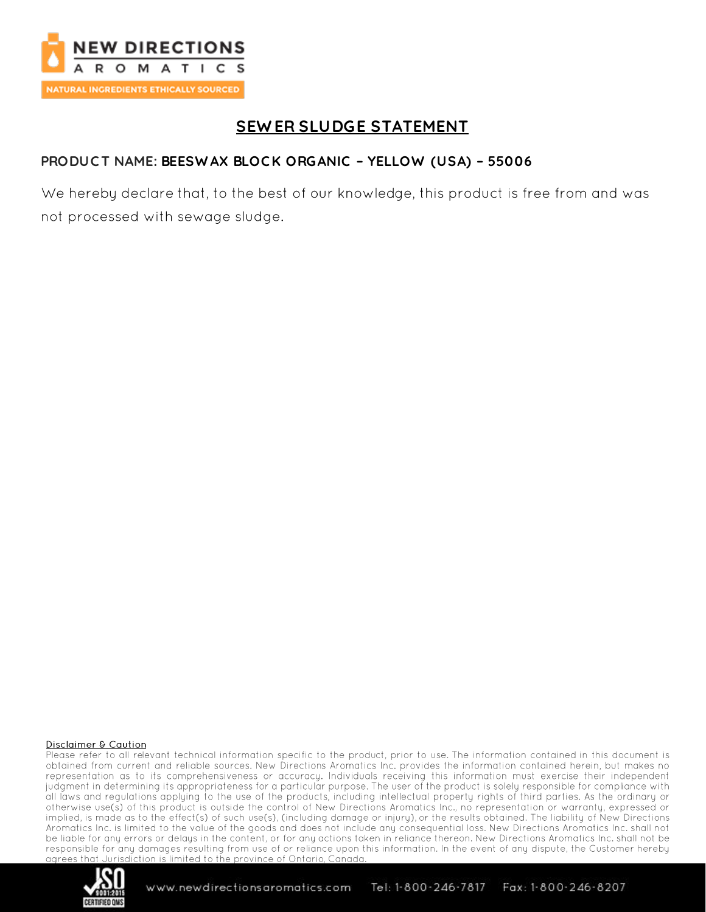

# **SEWER SLUDGE STATEMENT**

## PRODUCT NAME: BEESWAX BLOCK ORGANIC - YELLOW (USA) - 55006

We hereby declare that, to the best of our knowledge, this product is free from and was not processed with sewage sludge.

#### **Disclaimer & Caution**

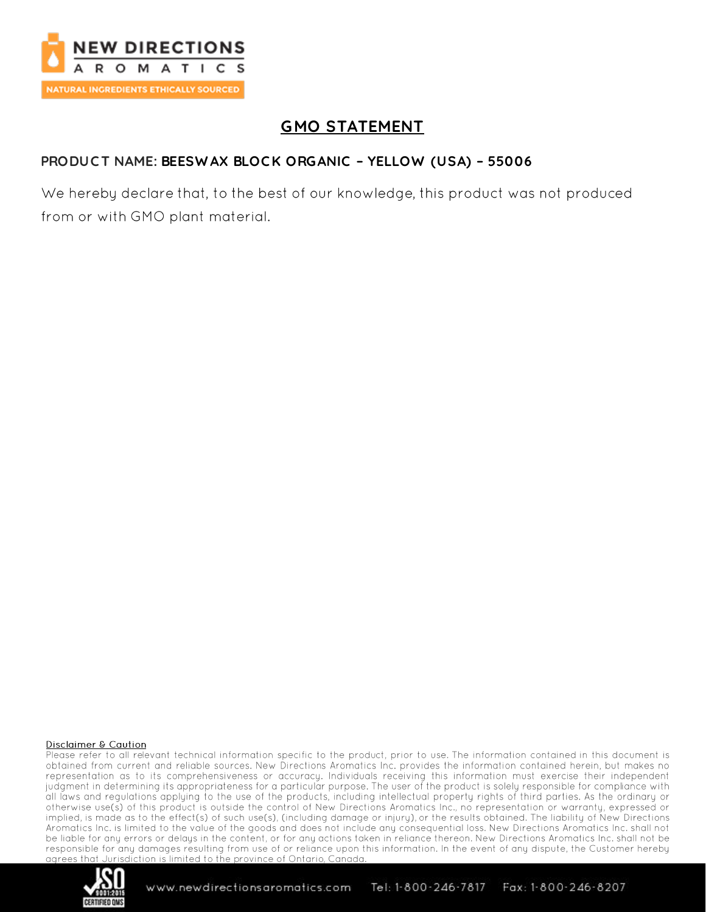

# **GMO STATEMENT**

## PRODUCT NAME: BEESWAX BLOCK ORGANIC - YELLOW (USA) - 55006

We hereby declare that, to the best of our knowledge, this product was not produced from or with GMO plant material.

#### **Disclaimer & Caution**

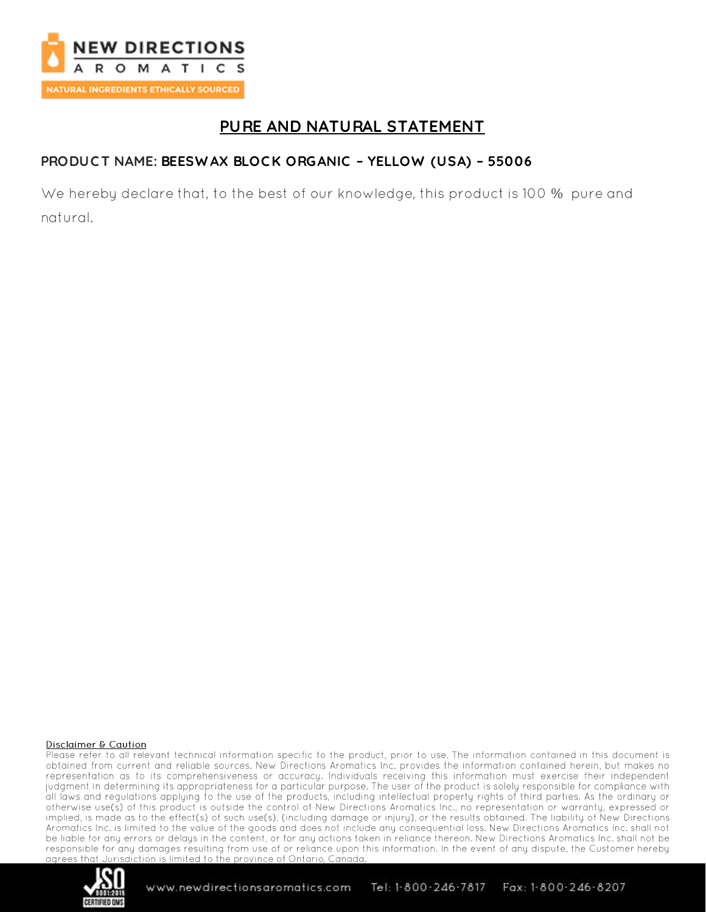

# PURE AND NATURAL STATEMENT

### PRODUCT NAME: BEESWAX BLOCK ORGANIC - YELLOW (USA) - 55006

We hereby declare that, to the best of our knowledge, this product is 100 % pure and natural.

#### **Disclaimer & Caution**

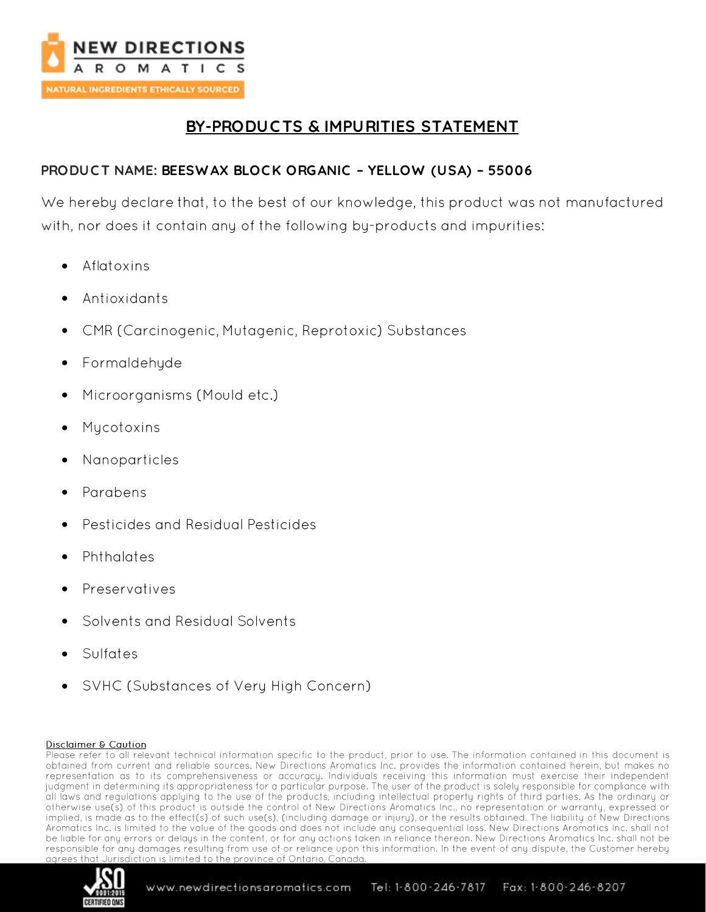

# **BY-PRODUC TS & IMPURITIES STATEMENT**

## **PRODUC T NAME: BEESW AX BLOC K ORGANIC – YELLOW (USA) – 55006**

We hereby declare that, to the best of our knowledge, this product was not manufactured with, nor does it contain any of the following by-products and impurities:

- Aflatoxins •
- Antioxidants
- CMR (Carcinogenic, Mutagenic, Reprotoxic) Substances •
- Formaldehyde
- Microorganisms (Mould etc.) •
- Mycotoxins
- Nanoparticles •
- Parabens
- **Pesticides and Residual Pesticides**
- Phthalates
- Preservatives
- Solvents and Residual Solvents
- Sulfates
- SVHC (Substances of Very High Concern) •

#### Disclaimer & Caution

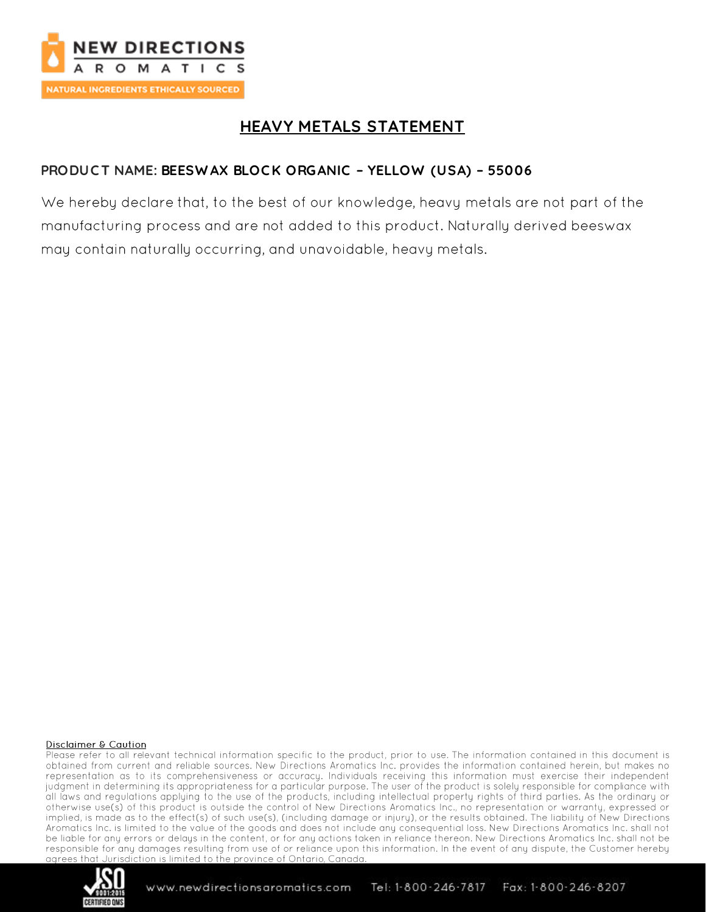

# **HEAVY METALS STATEMENT**

## PRODUCT NAME: BEESWAX BLOCK ORGANIC - YELLOW (USA) - 55006

We hereby declare that, to the best of our knowledge, heavy metals are not part of the manufacturing process and are not added to this product. Naturally derived beeswax may contain naturally occurring, and unavoidable, heavy metals.

#### **Disclaimer & Caution**

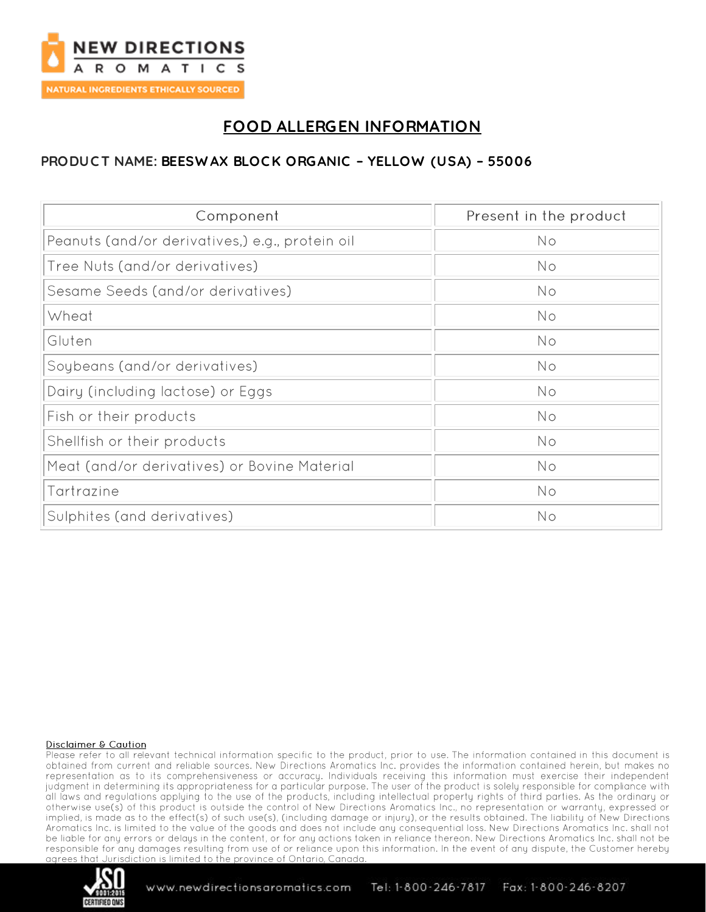

# **FOOD ALLERGEN INFORMATION**

## PRODUCT NAME: BEESWAX BLOCK ORGANIC - YELLOW (USA) - 55006

| Component                                       | Present in the product |
|-------------------------------------------------|------------------------|
| Peanuts (and/or derivatives,) e.g., protein oil | No                     |
| Tree Nuts (and/or derivatives)                  | No                     |
| Sesame Seeds (and/or derivatives)               | <b>No</b>              |
| Wheat                                           | No                     |
| Gluten                                          | No                     |
| Soybeans (and/or derivatives)                   | No                     |
| Dairy (including lactose) or Eggs               | <b>No</b>              |
| Fish or their products                          | No                     |
| Shellfish or their products                     | No                     |
| Meat (and/or derivatives) or Bovine Material    | No                     |
| Tartrazine                                      | No                     |
| Sulphites (and derivatives)                     | No                     |

#### **Disclaimer & Caution**

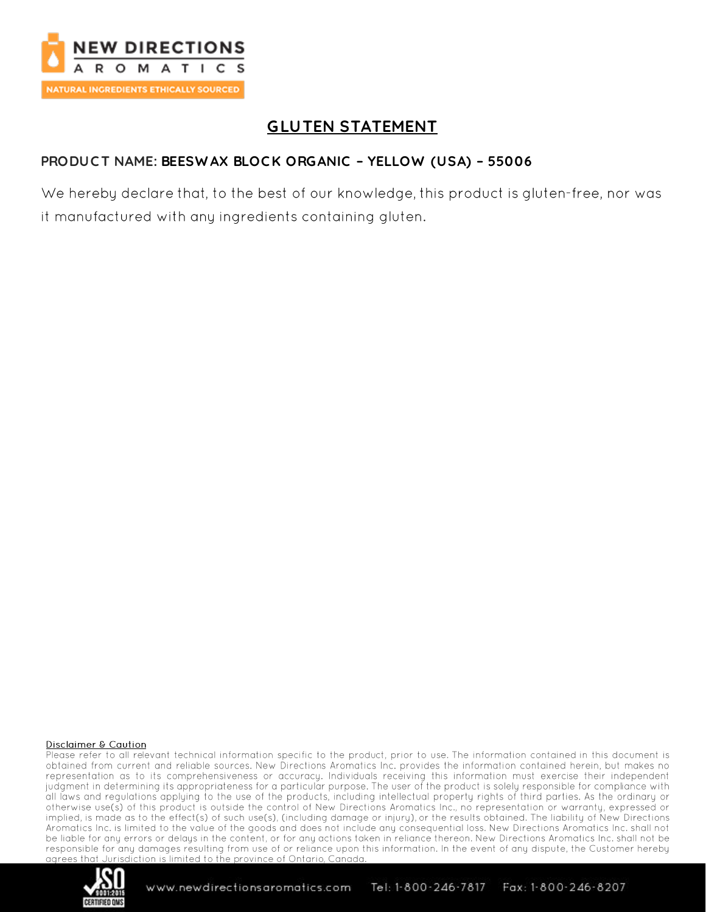

# **GLUTEN STATEMENT**

## PRODUCT NAME: BEESWAX BLOCK ORGANIC - YELLOW (USA) - 55006

We hereby declare that, to the best of our knowledge, this product is gluten-free, nor was it manufactured with any ingredients containing gluten.

#### **Disclaimer & Caution**

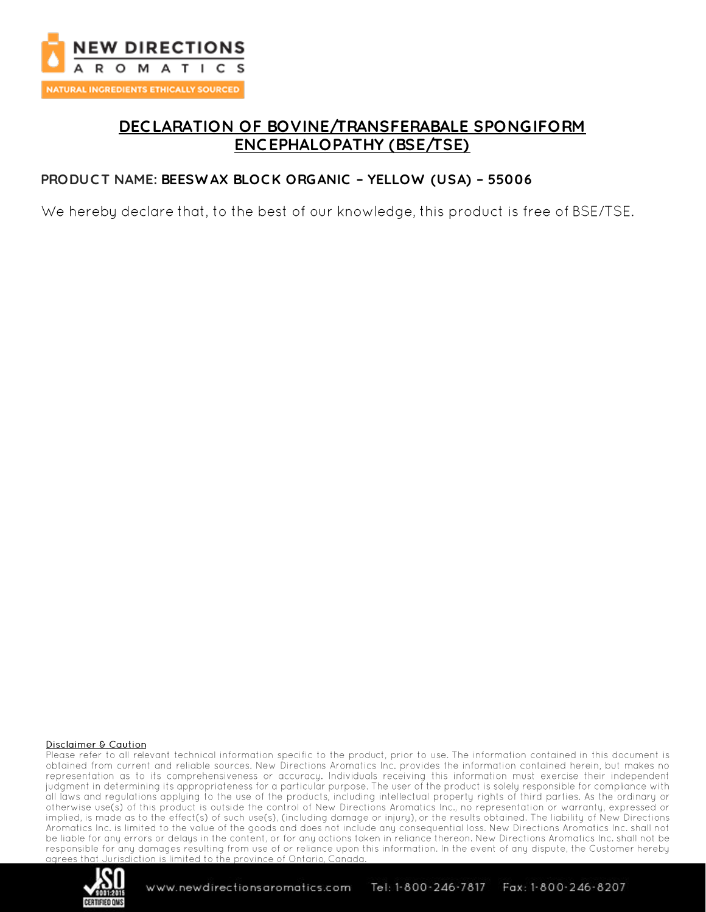

# **DEC LARATION OF BOVINE/TRANSFERABALE SPONGIFORM ENC EPHALOPATHY (BSE/TSE)**

### **PRODUC T NAME: BEESW AX BLOC K ORGANIC – YELLOW (USA) – 55006**

We hereby declare that, to the best of our knowledge, this product is free of BSE/TSE.

#### **Disclaimer & Caution**

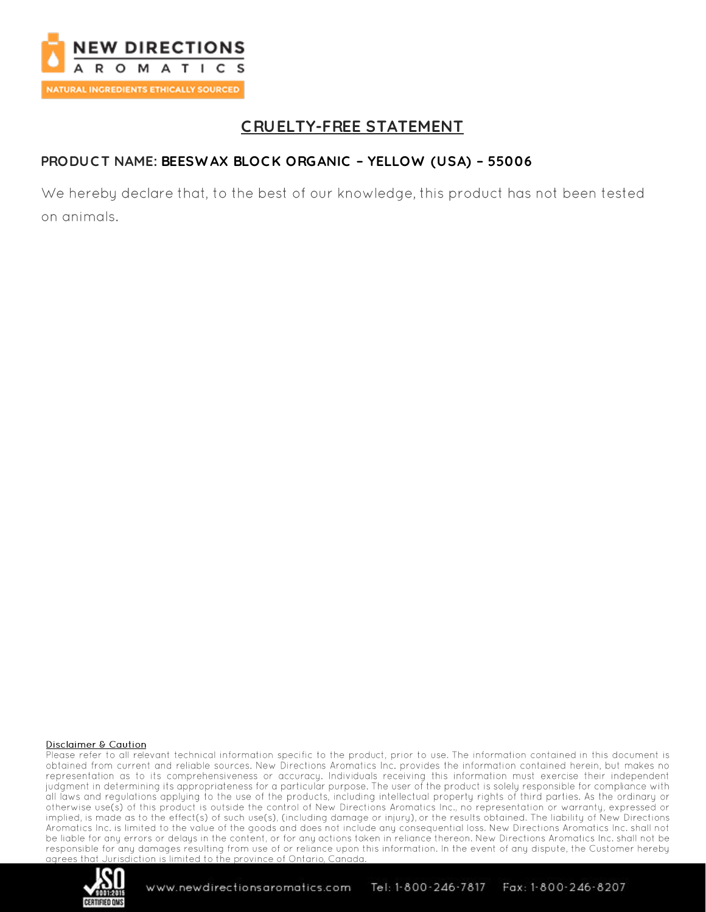

# **CRUELTY-FREE STATEMENT**

## PRODUCT NAME: BEESWAX BLOCK ORGANIC - YELLOW (USA) - 55006

We hereby declare that, to the best of our knowledge, this product has not been tested on animals.

#### **Disclaimer & Caution**

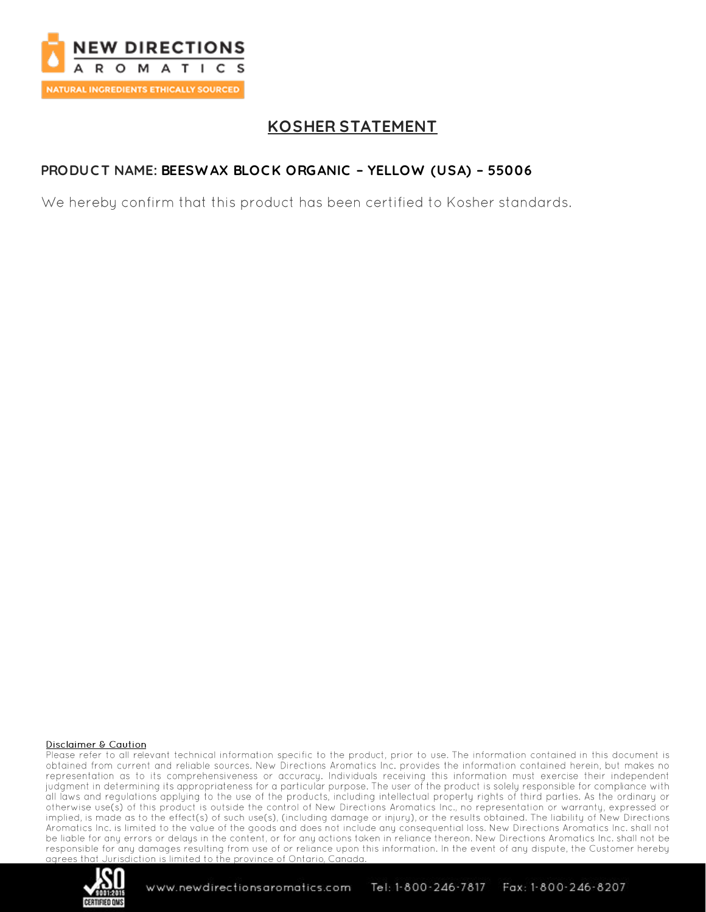

# **KOSHER STATEMENT**

## PRODUCT NAME: BEESWAX BLOCK ORGANIC - YELLOW (USA) - 55006

We hereby confirm that this product has been certified to Kosher standards.

#### **Disclaimer & Caution**

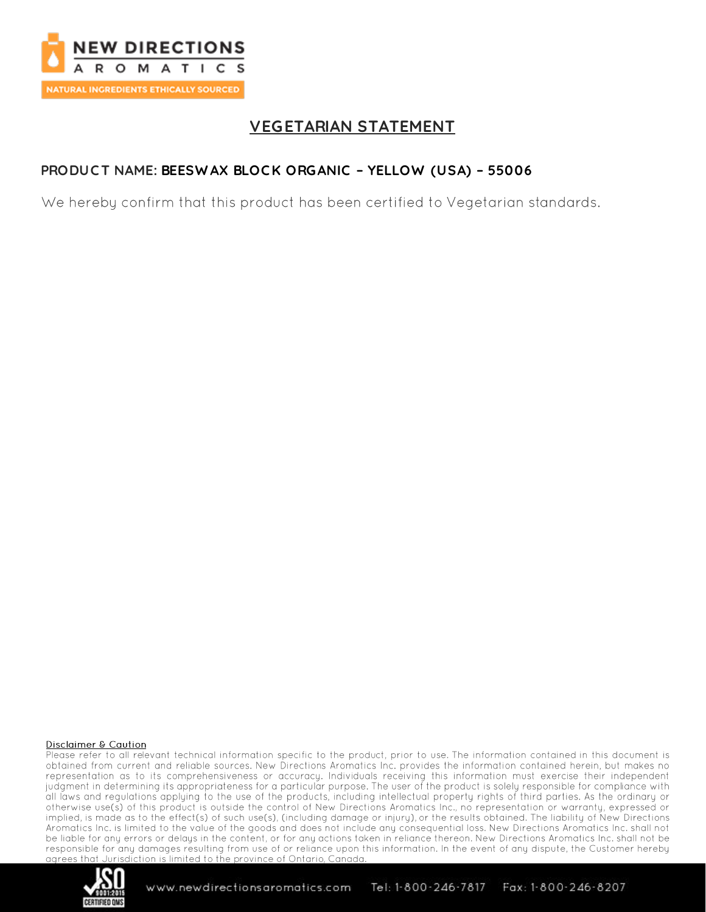

# **VEGETARIAN STATEMENT**

## PRODUCT NAME: BEESWAX BLOCK ORGANIC - YELLOW (USA) - 55006

We hereby confirm that this product has been certified to Vegetarian standards.

#### **Disclaimer & Caution**

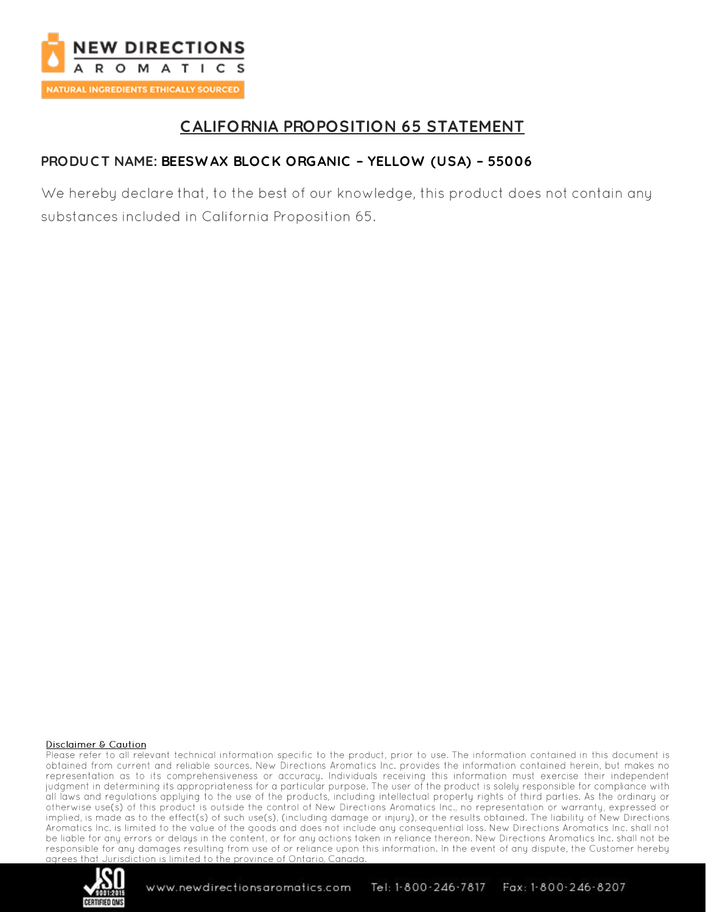

# **CALIFORNIA PROPOSITION 65 STATEMENT**

## PRODUCT NAME: BEESWAX BLOCK ORGANIC - YELLOW (USA) - 55006

We hereby declare that, to the best of our knowledge, this product does not contain any substances included in California Proposition 65.

#### **Disclaimer & Caution**